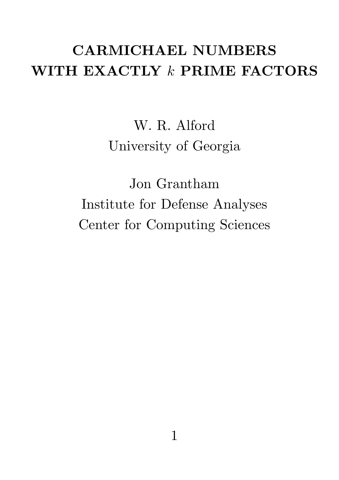# CARMICHAEL NUMBERS WITH EXACTLY  $k$  PRIME FACTORS

W. R. Alford University of Georgia

Jon Grantham Institute for Defense Analyses Center for Computing Sciences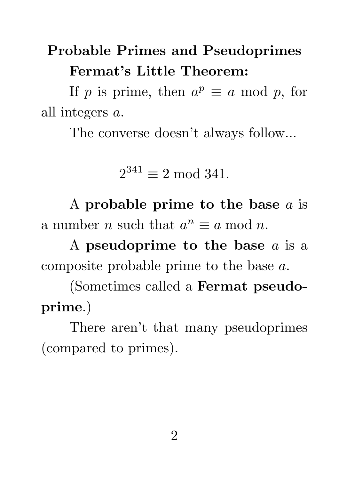# Probable Primes and Pseudoprimes Fermat's Little Theorem:

If p is prime, then  $a^p \equiv a \mod p$ , for all integers a.

The converse doesn't always follow...

 $2^{341} \equiv 2 \mod 341$ .

A probable prime to the base  $a$  is a number *n* such that  $a^n \equiv a \mod n$ .

A pseudoprime to the base a is a composite probable prime to the base a.

(Sometimes called a Fermat pseudoprime.)

There aren't that many pseudoprimes (compared to primes).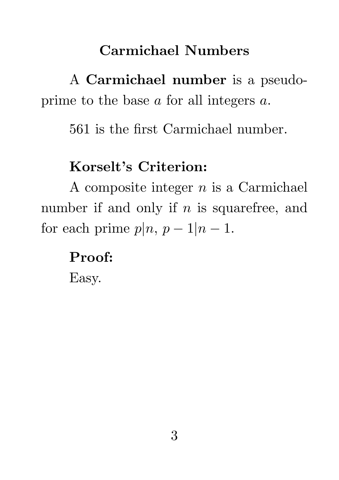### Carmichael Numbers

A Carmichael number is a pseudoprime to the base a for all integers a.

561 is the first Carmichael number.

## Korselt's Criterion:

A composite integer  $n$  is a Carmichael number if and only if  $n$  is squarefree, and for each prime  $p|n, p-1|n-1$ .

Proof:

Easy.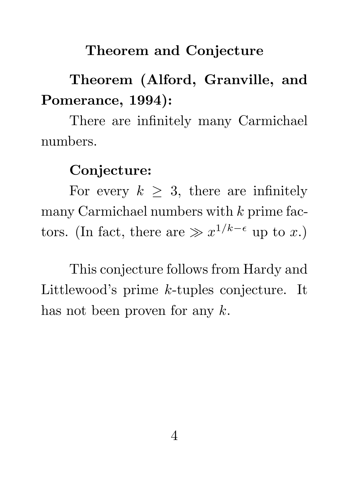#### Theorem and Conjecture

# Theorem (Alford, Granville, and Pomerance, 1994):

There are infinitely many Carmichael numbers.

#### Conjecture:

For every  $k \geq 3$ , there are infinitely many Carmichael numbers with  $k$  prime factors. (In fact, there are  $\gg x^{1/k-\epsilon}$  up to x.)

This conjecture follows from Hardy and Littlewood's prime k-tuples conjecture. It has not been proven for any  $k$ .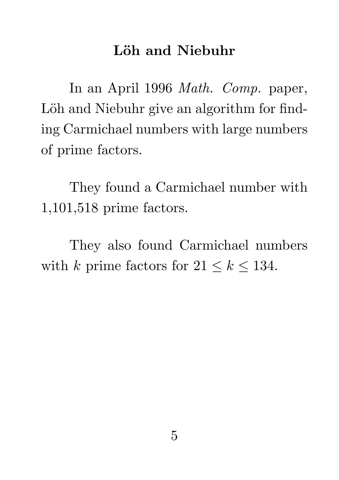#### Löh and Niebuhr

In an April 1996 Math. Comp. paper, Löh and Niebuhr give an algorithm for finding Carmichael numbers with large numbers of prime factors.

They found a Carmichael number with 1,101,518 prime factors.

They also found Carmichael numbers with k prime factors for  $21 \le k \le 134$ .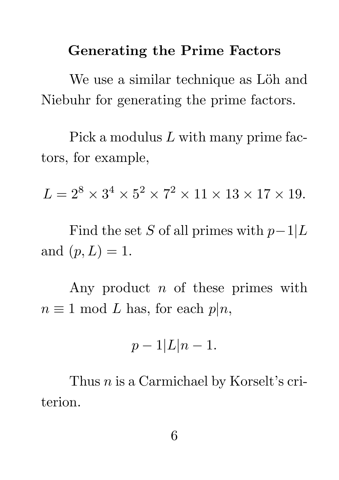#### Generating the Prime Factors

We use a similar technique as Löh and Niebuhr for generating the prime factors.

Pick a modulus L with many prime factors, for example,

 $L = 2^8 \times 3^4 \times 5^2 \times 7^2 \times 11 \times 13 \times 17 \times 19.$ 

Find the set S of all primes with  $p-1|L$ and  $(p, L) = 1$ .

Any product  $n$  of these primes with  $n \equiv 1 \mod L$  has, for each  $p|n$ ,

$$
p-1|L|n-1.
$$

Thus *n* is a Carmichael by Korselt's criterion.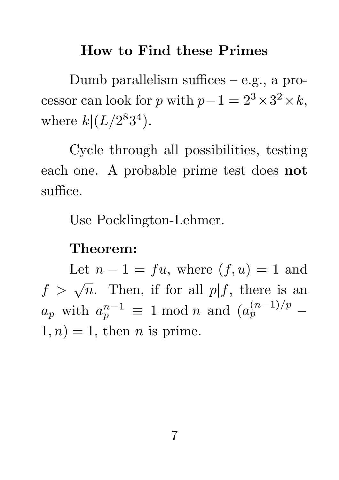#### How to Find these Primes

Dumb parallelism suffices – e.g., a processor can look for p with  $p-1 = 2^3 \times 3^2 \times k$ , where  $k|(L/2^83^4)$ .

Cycle through all possibilities, testing each one. A probable prime test does not suffice.

Use Pocklington-Lehmer.

#### Theorem:

Let  $n-1 = fu$ , where  $(f, u) = 1$  and  $f > \sqrt{n}$ . Then, if for all  $p|f$ , there is an  $a_p$  with  $a_p^{n-1} \equiv 1 \bmod n$  and  $(a_p)$  $(n-1)/p$  $\dot{p}$   $\cdots$  - $1, n) = 1$ , then *n* is prime.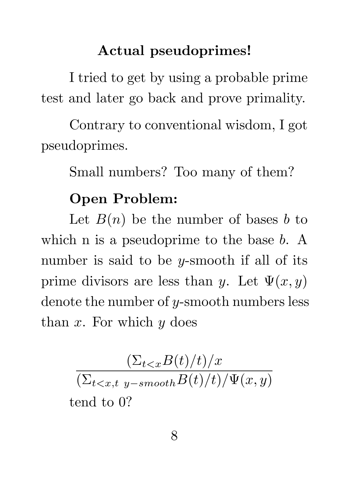#### Actual pseudoprimes!

I tried to get by using a probable prime test and later go back and prove primality.

Contrary to conventional wisdom, I got pseudoprimes.

Small numbers? Too many of them?

### Open Problem:

Let  $B(n)$  be the number of bases b to which n is a pseudoprime to the base b. A number is said to be *y*-smooth if all of its prime divisors are less than y. Let  $\Psi(x, y)$ denote the number of y-smooth numbers less than  $x$ . For which  $y$  does

$$
\frac{(\Sigma_{t tend to 0?
$$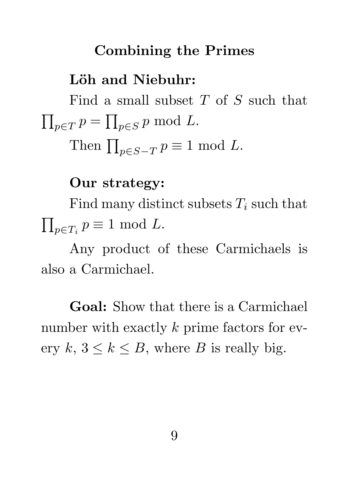#### Combining the Primes

#### Löh and Niebuhr:

Find a small subset T of S such that  $\prod_{p\in T} p = \prod_{p\in S} p \bmod L.$ 

Then  $\prod_{p\in S-T} p \equiv 1 \mod L$ .

Our strategy:

Find many distinct subsets  $T_i$  such that  $\prod_{p \in T_i} p \equiv 1 \mod L.$ 

Any product of these Carmichaels is also a Carmichael.

Goal: Show that there is a Carmichael number with exactly  $k$  prime factors for every  $k, 3 \leq k \leq B$ , where B is really big.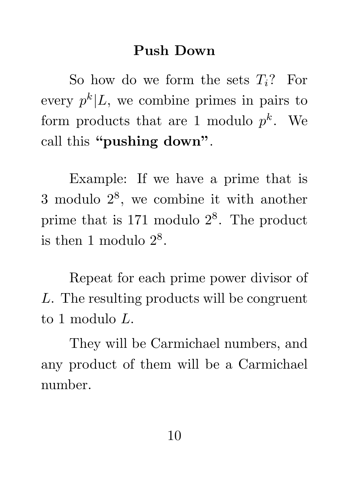#### Push Down

So how do we form the sets  $T_i$ ? For every  $p^k|L$ , we combine primes in pairs to form products that are 1 modulo  $p^k$ . We call this "pushing down".

Example: If we have a prime that is 3 modulo 2<sup>8</sup> , we combine it with another prime that is 171 modulo  $2^8$ . The product is then 1 modulo  $2^8$ .

Repeat for each prime power divisor of L. The resulting products will be congruent to 1 modulo L.

They will be Carmichael numbers, and any product of them will be a Carmichael number.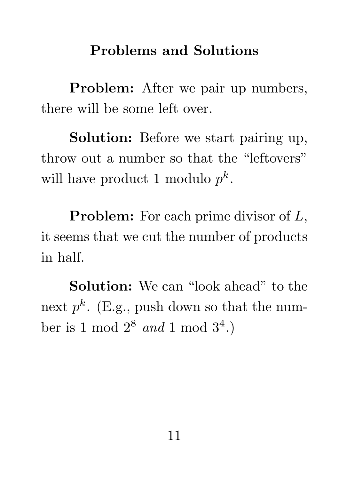### Problems and Solutions

Problem: After we pair up numbers, there will be some left over.

Solution: Before we start pairing up, throw out a number so that the "leftovers" will have product 1 modulo  $p^k$ .

**Problem:** For each prime divisor of L, it seems that we cut the number of products in half.

Solution: We can "look ahead" to the next  $p^k$ . (E.g., push down so that the number is 1 mod  $2^8$  and 1 mod  $3^4$ .)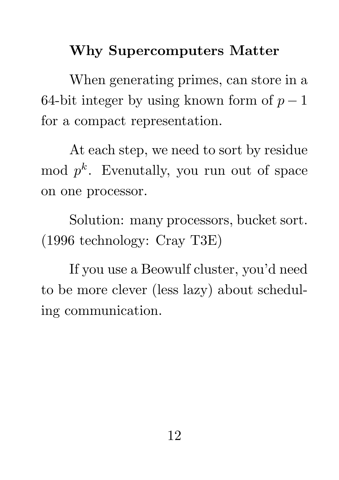## Why Supercomputers Matter

When generating primes, can store in a 64-bit integer by using known form of  $p-1$ for a compact representation.

At each step, we need to sort by residue  $\mod p^k$ . Evenutally, you run out of space on one processor.

Solution: many processors, bucket sort. (1996 technology: Cray T3E)

If you use a Beowulf cluster, you'd need to be more clever (less lazy) about scheduling communication.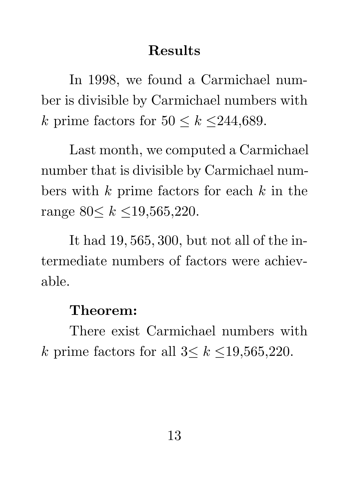### Results

In 1998, we found a Carmichael number is divisible by Carmichael numbers with k prime factors for  $50 \le k \le 244,689$ .

Last month, we computed a Carmichael number that is divisible by Carmichael numbers with  $k$  prime factors for each  $k$  in the range  $80 \le k \le 19,565,220$ .

It had 19, 565, 300, but not all of the intermediate numbers of factors were achievable.

#### Theorem:

There exist Carmichael numbers with k prime factors for all  $3 \leq k \leq 19,565,220$ .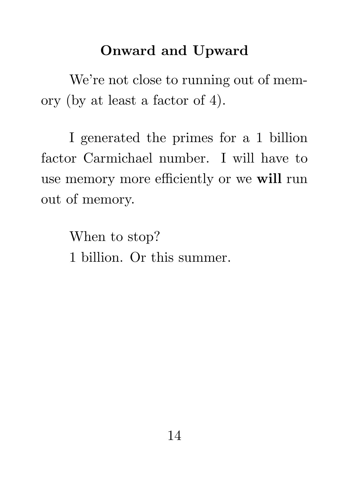### Onward and Upward

We're not close to running out of memory (by at least a factor of 4).

I generated the primes for a 1 billion factor Carmichael number. I will have to use memory more efficiently or we will run out of memory.

> When to stop? 1 billion. Or this summer.